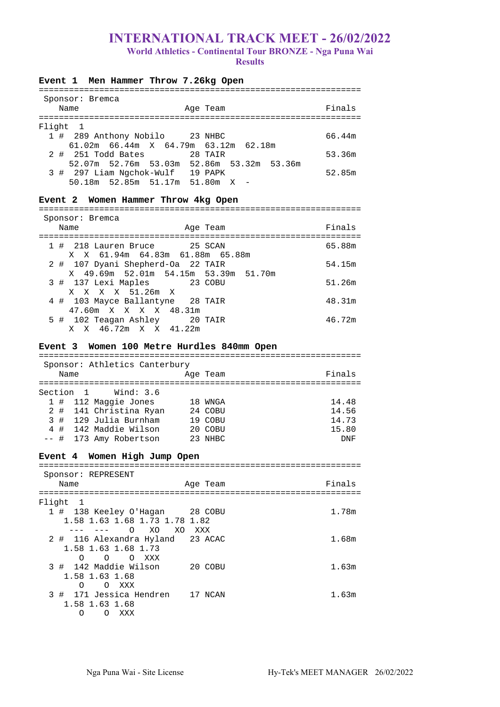# **INTERNATIONAL TRACK MEET - 26/02/2022 World Athletics - Continental Tour BRONZE - Nga Puna Wai Results**

| Event 1 Men Hammer Throw 7.26kg Open       |        |
|--------------------------------------------|--------|
| Sponsor: Bremca                            |        |
| Age Team<br>Name                           | Finals |
|                                            |        |
| Flight<br>$\overline{1}$                   |        |
| 1 # 289 Anthony Nobilo 23 NHBC             | 66.44m |
| 61.02m 66.44m X 64.79m 63.12m 62.18m       |        |
| 28 TAIR<br>2 # 251 Todd Bates              | 53.36m |
| 52.07m 52.76m 53.03m 52.86m 53.32m 53.36m  |        |
| 3 # 297 Liam Ngchok-Wulf 19 PAPK           | 52.85m |
| 50.18m 52.85m 51.17m 51.80m X -            |        |
| Event 2 Women Hammer Throw 4kg Open        |        |
|                                            |        |
| Sponsor: Bremca                            |        |
| Name<br>Age Team                           | Finals |
|                                            |        |
| 1 # 218 Lauren Bruce 25 SCAN               | 65.88m |
| X X 61.94m 64.83m 61.88m 65.88m            |        |
| 2 # 107 Dyani Shepherd-Oa 22 TAIR          | 54.15m |
| X 49.69m 52.01m 54.15m 53.39m 51.70m       |        |
| 3 # 137 Lexi Maples 23 COBU                | 51.26m |
| X X X X 51.26m X                           |        |
| 4 # 103 Mayce Ballantyne 28 TAIR           | 48.31m |
| 47.60m X X X X 48.31m                      |        |
| 5 # 102 Teagan Ashley 20 TAIR              | 46.72m |
| X X 46.72m X X 41.22m                      |        |
| Event 3 Women 100 Metre Hurdles 840mm Open |        |
|                                            |        |
| Sponsor: Athletics Canterbury              |        |
| Age Team<br>Name                           | Finals |
| Section 1 Wind: 3.6                        |        |

|  | 1 # 112 Maggie Jones   | 18 WNGA | 14.48 |
|--|------------------------|---------|-------|
|  | 2 # 141 Christina Ryan | 24 COBU | 14.56 |
|  | 3 # 129 Julia Burnham  | 19 COBU | 14.73 |
|  | 4 # 142 Maddie Wilson  | 20 COBU | 15.80 |
|  | -- # 173 Amy Robertson | 23 NHBC | DNF   |

# **Event 4 Women High Jump Open**

================================================================ Sponsor: REPRESENT

| pponbor . Khi Khohni<br>Name                                       | Age Team | Finals |
|--------------------------------------------------------------------|----------|--------|
| Flight<br>$\mathbf{1}$                                             |          |        |
| 1 # 138 Keeley O'Hagan 28 COBU<br>1.58 1.63 1.68 1.73 1.78 1.82    |          | 1.78m  |
| XO.<br>∩<br>XO.                                                    | XXX      |        |
| 2 # 116 Alexandra Hyland 23 ACAC<br>1.58 1.63 1.68 1.73            |          | 1.68m  |
| $\Omega$<br>∩<br>$\circ$<br>XXX                                    |          |        |
| 3 # 142 Maddie Wilson<br>1.58 1.63 1.68                            | 20 COBU  | 1.63m  |
| O XXX<br>$\Omega$                                                  |          |        |
| 3 # 171 Jessica Hendren<br>1.58 1.63 1.68<br>XXX<br>Ω<br>$\bigcap$ | 17 NCAN  | 1.63m  |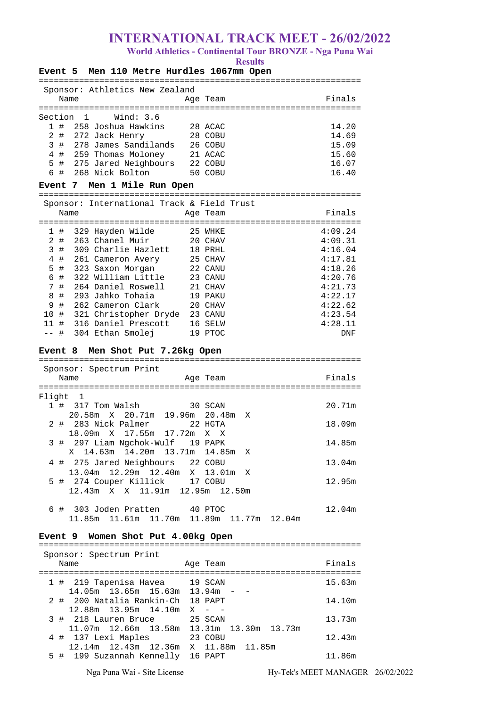**World Athletics - Continental Tour BRONZE - Nga Puna Wai** 

**Results** 

| Men 110 Metre Hurdles 1067mm Open<br><b>Event 5</b>                        |  | Results  |         |  |  |
|----------------------------------------------------------------------------|--|----------|---------|--|--|
| Sponsor: Athletics New Zealand                                             |  |          |         |  |  |
| Name                                                                       |  | Age Team | Finals  |  |  |
| Wind: 3.6<br>Section<br>1                                                  |  |          |         |  |  |
| 258 Joshua Hawkins<br>1#                                                   |  | 28 ACAC  | 14.20   |  |  |
| 2<br>272 Jack Henry<br>#                                                   |  | 28 COBU  | 14.69   |  |  |
| 3#<br>278 James Sandilands                                                 |  | 26 COBU  | 15.09   |  |  |
| 4 # 259 Thomas Moloney                                                     |  | 21 ACAC  | 15.60   |  |  |
| 5 #<br>275 Jared Neighbours 22 COBU                                        |  |          | 16.07   |  |  |
| 6<br>#<br>268 Nick Bolton                                                  |  | 50 COBU  | 16.40   |  |  |
| Men 1 Mile Run Open<br>Event 7                                             |  |          |         |  |  |
| Sponsor: International Track & Field Trust                                 |  |          |         |  |  |
| Name                                                                       |  | Age Team | Finals  |  |  |
| 1#<br>329 Hayden Wilde                                                     |  | 25 WHKE  | 4:09.24 |  |  |
| 2#<br>263 Chanel Muir                                                      |  | 20 CHAV  | 4:09.31 |  |  |
| 3<br>309 Charlie Hazlett<br>#                                              |  | 18 PRHL  | 4:16.04 |  |  |
| 4<br>#<br>261 Cameron Avery                                                |  | 25 CHAV  | 4:17.81 |  |  |
| 5<br>#<br>323 Saxon Morgan                                                 |  | 22 CANU  | 4:18.26 |  |  |
| 6 #<br>322 William Little                                                  |  | 23 CANU  | 4:20.76 |  |  |
| 7<br>#<br>264 Daniel Roswell                                               |  | 21 CHAV  | 4:21.73 |  |  |
| 293 Jahko Tohaia<br>8<br>#                                                 |  | 19 PAKU  | 4:22.17 |  |  |
| 9<br>262 Cameron Clark<br>#                                                |  | 20 CHAV  | 4:22.62 |  |  |
| 321 Christopher Dryde 23 CANU<br>10<br>#                                   |  |          | 4:23.54 |  |  |
| #<br>316 Daniel Prescott<br>11                                             |  | 16 SELW  | 4:28.11 |  |  |
| 304 Ethan Smolej<br>$- -$<br>#                                             |  | 19 PTOC  | DNF     |  |  |
| Men Shot Put 7.26kg Open<br><b>Event 8</b>                                 |  |          |         |  |  |
| Sponsor: Spectrum Print                                                    |  |          |         |  |  |
| Name                                                                       |  | Age Team | Finals  |  |  |
| Flight<br>1                                                                |  |          |         |  |  |
| 317 Tom Walsh<br>1 #                                                       |  | 30 SCAN  | 20.71m  |  |  |
| 20.71m 19.96m 20.48m<br>20.58m<br>X                                        |  | Χ        |         |  |  |
| 283 Nick Palmer<br>2<br>#                                                  |  | 22 HGTA  | 18.09m  |  |  |
| 18.09m X 17.55m 17.72m                                                     |  | X<br>X   |         |  |  |
| 3 # 297 Liam Ngchok-Wulf 19 PAPK                                           |  |          | 14.85m  |  |  |
| 14.63m  14.20m  13.71m  14.85m  X<br>X                                     |  |          |         |  |  |
| 4 # 275 Jared Neighbours 22 COBU                                           |  |          | 13.04m  |  |  |
| 13.04m  12.29m  12.40m  X  13.01m  X                                       |  |          |         |  |  |
| 5 # 274 Couper Killick 17 COBU                                             |  |          | 12.95m  |  |  |
| 12.43m X X 11.91m 12.95m 12.50m                                            |  |          |         |  |  |
| 6 # 303 Joden Pratten 40 PTOC<br>11.85m 11.61m 11.70m 11.89m 11.77m 12.04m |  |          | 12.04m  |  |  |
|                                                                            |  |          |         |  |  |
| Event 9 Women Shot Put 4.00kg Open                                         |  |          |         |  |  |
| Sponsor: Spectrum Print                                                    |  |          |         |  |  |
| Name                                                                       |  | Age Team | Finals  |  |  |
|                                                                            |  |          |         |  |  |
| $1 + 219$ Tenenica Heyes $10$ CCAN                                         |  |          | 15.62m  |  |  |

|  | 1 # 219 Tapenisa Havea 19 SCAN                 |         | 15.63m |
|--|------------------------------------------------|---------|--------|
|  | $14.05m$ $13.65m$ $15.63m$ $13.94m$ - -        |         |        |
|  | 2 # 200 Natalia Rankin-Ch 18 PAPT              |         | 14.10m |
|  | $12.88m$ $13.95m$ $14.10m$ X - -               |         |        |
|  | 3 # 218 Lauren Bruce 25 SCAN                   |         | 13.73m |
|  | 11.07m  12.66m  13.58m  13.31m  13.30m  13.73m |         |        |
|  | 4 # 137 Lexi Maples                            | 23 COBU | 12.43m |
|  | 12.14m  12.43m  12.36m  X  11.88m  11.85m      |         |        |
|  | 5 # 199 Suzannah Kennelly 16 PAPT              |         | 11.86m |
|  |                                                |         |        |

Nga Puna Wai - Site License Hy-Tek's MEET MANAGER 26/02/2022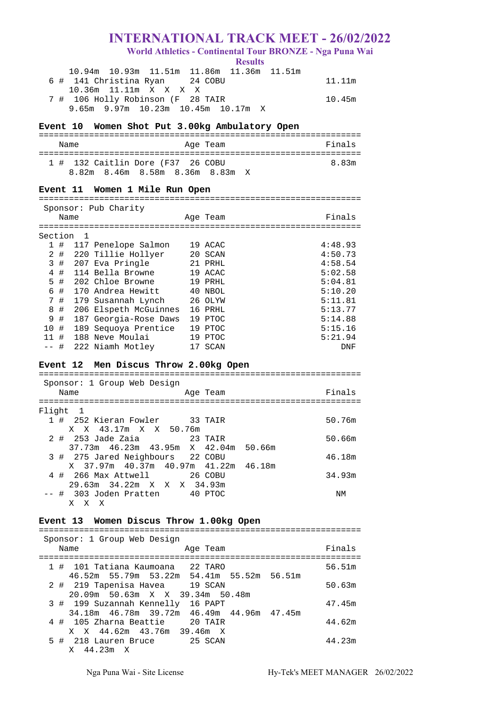**World Athletics - Continental Tour BRONZE - Nga Puna Wai** 

**Results** 

| 10.94m 10.93m 11.51m 11.86m 11.36m 11.51m    |        |
|----------------------------------------------|--------|
| 6 # 141 Christina Ryan 24 COBU               | 11.11m |
| 10.36m 11.11m X X X X                        |        |
| 7 # 106 Holly Robinson (F 28 TAIR            | 10.45m |
| $9.65m$ $9.97m$ $10.23m$ $10.45m$ $10.17m$ X |        |

## **Event 10 Women Shot Put 3.00kg Ambulatory Open**

| Name | Age Team                          | Finals |
|------|-----------------------------------|--------|
|      | 1 # 132 Caitlin Dore (F37 26 COBU | 8 83m  |
|      | 8.82m 8.46m 8.58m 8.36m 8.83m X   |        |

#### **Event 11 Women 1 Mile Run Open**

================================================================ Sponsor: Pub Charity

|              | $100111001 + 100001101110$ |     |                       |  |          |         |  |
|--------------|----------------------------|-----|-----------------------|--|----------|---------|--|
|              | Name                       |     |                       |  | Age Team | Finals  |  |
|              |                            |     |                       |  |          |         |  |
| Section      |                            | - 1 |                       |  |          |         |  |
| $\mathbf{1}$ | #                          |     | 117 Penelope Salmon   |  | 19 ACAC  | 4:48.93 |  |
|              | 2#                         |     | 220 Tillie Hollyer    |  | 20 SCAN  | 4:50.73 |  |
| 3            | #                          |     | 207 Eva Pringle       |  | 21 PRHL  | 4:58.54 |  |
| 4            | #                          |     | 114 Bella Browne      |  | 19 ACAC  | 5:02.58 |  |
| 5            | #                          |     | 202 Chloe Browne      |  | 19 PRHL  | 5:04.81 |  |
| 6            | #                          |     | 170 Andrea Hewitt     |  | 40 NBOL  | 5:10.20 |  |
|              | 7#                         |     | 179 Susannah Lynch    |  | 26 OLYW  | 5:11.81 |  |
| 8            | #                          |     | 206 Elspeth McGuinnes |  | 16 PRHL  | 5:13.77 |  |
| 9            | #                          |     | 187 Georgia-Rose Daws |  | 19 PTOC  | 5:14.88 |  |
| 10           | #                          |     | 189 Sequoya Prentice  |  | 19 PTOC  | 5:15.16 |  |
| 11           | #                          |     | 188 Neve Moulai       |  | 19 PTOC  | 5:21.94 |  |
|              | #                          |     | 222 Niamh Motley      |  | 17 SCAN  | DNF     |  |

### **Event 12 Men Discus Throw 2.00kg Open**

================================================================ Sponsor: 1 Group Web Design Name **Age Team** Age Team Finals ================================================================ Flight 1 1 # 252 Kieran Fowler 33 TAIR 50.76m X X 43.17m X X 50.76m 2 # 253 Jade Zaia 23 TAIR 50.66m 37.73m 46.23m 43.95m X 42.04m 50.66m 3 # 275 Jared Neighbours 22 COBU 46.18m X 37.97m 40.37m 40.97m 41.22m 46.18m 4 # 266 Max Attwell 26 COBU 34.93m 29.63m 34.22m X X X 34.93m -- # 303 Joden Pratten 40 PTOC NM X X X

### **Event 13 Women Discus Throw 1.00kg Open**  ================================================================

| Sponsor: 1 Group Web Design<br>Name<br>Age Team                                | Finals |
|--------------------------------------------------------------------------------|--------|
| 1 # 101 Tatiana Kaumoana 22 TARO                                               | 56.51m |
| 46.52m 55.79m 53.22m 54.41m 55.52m 56.51m<br>2 # 219 Tapenisa Havea 19 SCAN    | 50.63m |
| 20.09m 50.63m X X 39.34m 50.48m<br>3 # 199 Suzannah Kennelly 16 PAPT           | 47.45m |
| 34.18m 46.78m 39.72m 46.49m 44.96m 47.45m<br>20 TAIR<br>4 # 105 Zharna Beattie | 44.62m |
| X X 44.62m 43.76m 39.46m X<br>5 # 218 Lauren Bruce 25 SCAN<br>X 44.23m X       | 44.23m |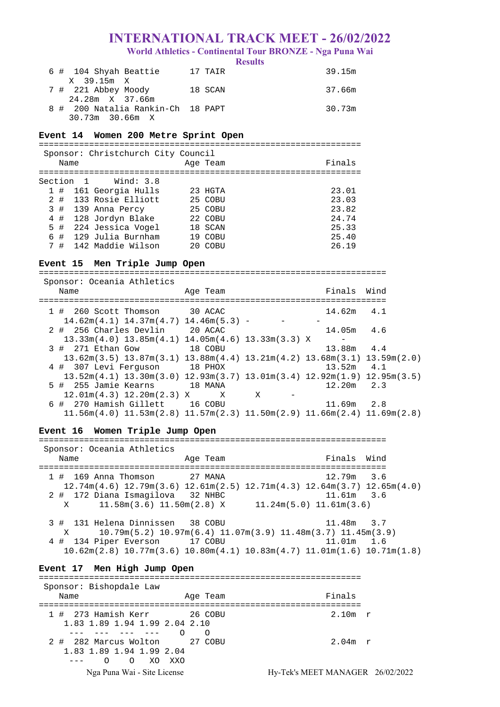**World Athletics - Continental Tour BRONZE - Nga Puna Wai** 

**Results** 

| 6 # 104 Shyah Beattie             | 17 TAIR | 39.15m |
|-----------------------------------|---------|--------|
| X 39.15m X                        |         |        |
| 7 # 221 Abbey Moody               | 18 SCAN | 37.66m |
| 24.28m X 37.66m                   |         |        |
| 8 # 200 Natalia Rankin-Ch 18 PAPT |         | 30.73m |
| $30.73m$ 30.66m X                 |         |        |

## **Event 14 Women 200 Metre Sprint Open**

================================================================

| Name    |           | Sponsor: Christchurch City Council | Age Team   | Finals |
|---------|-----------|------------------------------------|------------|--------|
|         | Section 1 | Wind: 3.8                          |            |        |
| 1#      |           | 161 Georgia Hulls                  | 23 HGTA    | 23.01  |
| $2 \pm$ |           | 133 Rosie Elliott                  | 25 COBU    | 23.03  |
| 3#      |           | 139 Anna Percy                     | 25 COBU    | 23.82  |
| 4#      |           | 128 Jordyn Blake                   | 22 COBU    | 24.74  |
| 5 #     |           | 224 Jessica Vogel                  | 18 SCAN    | 25.33  |
| 6#      |           | 129 Julia Burnham                  | 19 COBU    | 25.40  |
| 7#      |           | 142 Maddie Wilson                  | $20$ COBII | 26.19  |
|         |           |                                    |            |        |

## **Event 15 Men Triple Jump Open**

===================================================================== Sponsor: Oceania Athletics

| Name                                                                                                        | Age Team        |              | Finals Wind    |     |
|-------------------------------------------------------------------------------------------------------------|-----------------|--------------|----------------|-----|
| 1 # 260 Scott Thomson 30 ACAC                                                                               |                 |              | $14.62m$ $4.1$ |     |
| $14.62m(4.1)$ $14.37m(4.7)$ $14.46m(5.3)$ -                                                                 |                 |              |                |     |
| 2 # 256 Charles Devlin 20 ACAC                                                                              |                 |              | 14.05m 4.6     |     |
| $13.33m(4.0)$ $13.85m(4.1)$ $14.05m(4.6)$ $13.33m(3.3)$ X                                                   |                 |              |                |     |
| $3$ # 271 Ethan Gow                                                                                         | and the 18 COBU |              | $13.88m$ $4.4$ |     |
| $13.62$ m $(3.5)$ $13.87$ m $(3.1)$ $13.88$ m $(4.4)$ $13.21$ m $(4.2)$ $13.68$ m $(3.1)$ $13.59$ m $(2.0)$ |                 |              |                |     |
| 4 # 307 Levi Ferquson 18 PHOX                                                                               |                 |              | 13.52m         | 4.1 |
| $13.52m(4.1)$ $13.30m(3.0)$ $12.93m(3.7)$ $13.01m(3.4)$ $12.92m(1.9)$ $12.95m(3.5)$                         |                 |              |                |     |
| 5 # 255 Jamie Kearns 18 MANA                                                                                |                 |              | $12.20m$ 2.3   |     |
| $12.01m(4.3)$ $12.20m(2.3)$ X X                                                                             |                 | $\mathbf{X}$ |                |     |
| 6 # 270 Hamish Gillett 16 COBU                                                                              |                 |              | $11.69m$ 2.8   |     |
| $11.56m(4.0)$ $11.53m(2.8)$ $11.57m(2.3)$ $11.50m(2.9)$ $11.66m(2.4)$ $11.69m(2.8)$                         |                 |              |                |     |

#### **Event 16 Women Triple Jump Open**

===================================================================== Sponsor: Oceania Athletics Name Age Team Finals Wind ===================================================================== 1 # 169 Anna Thomson 27 MANA 12.79m 3.6  $12.74m(4.6)$  12.79m(3.6) 12.61m(2.5) 12.71m(4.3) 12.64m(3.7) 12.65m(4.0)<br>  $+$  172 Diana Ismaqilova 32 NHBC 11.61m 3.6 2 # 172 Diana Ismagilova 32 NHBC X 11.58m(3.6) 11.50m(2.8) X 11.24m(5.0) 11.61m(3.6)

 3 # 131 Helena Dinnissen 38 COBU 11.48m 3.7 X 10.79m(5.2) 10.97m(6.4) 11.07m(3.9) 11.48m(3.7) 11.45m(3.9) 4 # 134 Piper Everson 17 COBU 11.01m 1.6 10.62m(2.8) 10.77m(3.6) 10.80m(4.1) 10.83m(4.7) 11.01m(1.6) 10.71m(1.8)

## **Event 17 Men High Jump Open**

Nga Puna Wai - Site License Hy-Tek's MEET MANAGER 26/02/2022 ================================================================ Sponsor: Bishopdale Law Name **Age Team Age Team Rame** Finals ================================================================ 1 # 273 Hamish Kerr 26 COBU 2.10m r 1.83 1.89 1.94 1.99 2.04 2.10 --- --- --- --- O O 2 # 282 Marcus Wolton 27 COBU 2010 2.04m r 1.83 1.89 1.94 1.99 2.04 --- O O XO XXO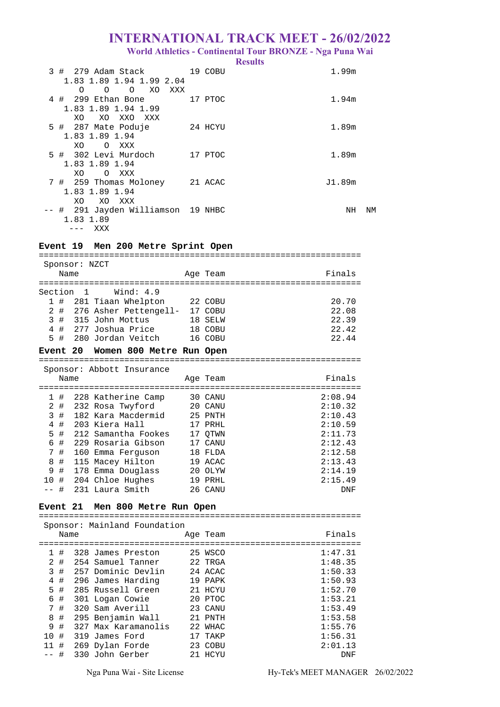**World Athletics - Continental Tour BRONZE - Nga Puna Wai** 

**Results** 

| 3# | 279 Adam Stack<br>1.83 1.89 1.94 1.99 2.04      | 19 COBU | 1.99m  |    |
|----|-------------------------------------------------|---------|--------|----|
|    | XO.<br>O<br>$\circ$<br>XXX<br>$\Omega$          |         |        |    |
|    | 4 # 299 Ethan Bone                              | 17 PTOC | 1.94m  |    |
|    | 1.83 1.89 1.94 1.99<br>XO XXO<br>XO.<br>XXX     |         |        |    |
|    | 5 # 287 Mate Poduje                             | 24 HCYU | 1.89m  |    |
|    | 1.83 1.89 1.94<br>XO<br>O XXX                   |         |        |    |
|    | 5 # 302 Levi Murdoch                            | 17 PTOC | 1.89m  |    |
|    | 1.83 1.89 1.94                                  |         |        |    |
|    | XO.<br>O XXX<br>7 # 259 Thomas Moloney 21 ACAC  |         | J1.89m |    |
|    | 1.83 1.89 1.94                                  |         |        |    |
|    | XO<br>XO XXX                                    |         |        |    |
|    | -- # 291 Jayden Williamson 19 NHBC<br>1.83 1.89 |         | NH     | ΝM |
|    | xxx<br>$---$                                    |         |        |    |

# **Event 19 Men 200 Metre Sprint Open**

|                                          |      | Sponsor: NZCT |                               |  |          |            |
|------------------------------------------|------|---------------|-------------------------------|--|----------|------------|
|                                          | Name |               |                               |  | Age Team | Finals     |
|                                          |      |               | :===================          |  |          |            |
| Wind: $4.9$<br>Section<br>$\overline{1}$ |      |               |                               |  |          |            |
| 1                                        | #    |               | 281 Tiaan Whelpton            |  | 22 COBU  | 20.70      |
| 2                                        | #    |               | 276 Asher Pettengell- 17 COBU |  |          | 22.08      |
| 3                                        | #    |               | 315 John Mottus               |  | 18 SELW  | 22.39      |
| 4                                        | #    |               | 277 Joshua Price              |  | 18 COBU  | 22.42      |
| 5                                        | #    | 280           | Jordan Veitch                 |  | 16 COBU  | 22.44      |
| Event 20                                 |      |               | Women 800 Metre Run Open      |  |          |            |
|                                          |      |               |                               |  |          |            |
|                                          |      |               | Sponsor: Abbott Insurance     |  |          |            |
|                                          | Name |               |                               |  | Age Team | Finals     |
|                                          |      |               |                               |  |          |            |
| 1                                        | #    |               | 228 Katherine Camp            |  | 30 CANU  | 2:08.94    |
| 2                                        | #    |               | 232 Rosa Twyford              |  | 20 CANU  | 2:10.32    |
| 3                                        | #    |               | 182 Kara Macdermid            |  | 25 PNTH  | 2:10.43    |
| 4                                        | #    |               | 203 Kiera Hall                |  | 17 PRHL  | 2:10.59    |
| 5                                        | #    |               | 212 Samantha Fookes           |  | 17 OTWN  | 2:11.73    |
| 6                                        | #    |               | 229 Rosaria Gibson            |  | 17 CANU  | 2:12.43    |
| 7                                        | #    | 160           | Emma Ferquson                 |  | 18 FLDA  | 2:12.58    |
| 8                                        | #    |               | 115 Macey Hilton              |  | 19 ACAC  | 2:13.43    |
| 9                                        | #    |               | 178 Emma Douglass             |  | 20 OLYW  | 2:14.19    |
| 10                                       | #    |               | 204 Chloe Hughes              |  | 19 PRHL  | 2:15.49    |
|                                          | #    |               | 231 Laura Smith               |  | 26 CANU  | <b>DNF</b> |
|                                          |      |               |                               |  |          |            |

# **Event 21 Men 800 Metre Run Open**

| Sponsor: Mainland Foundation |      |  |                     |  |          |         |
|------------------------------|------|--|---------------------|--|----------|---------|
|                              | Name |  |                     |  | Age Team | Finals  |
|                              |      |  |                     |  |          |         |
|                              | #    |  | 328 James Preston   |  | 25 WSCO  | 1:47.31 |
| 2                            | #    |  | 254 Samuel Tanner   |  | 22 TRGA  | 1:48.35 |
| 3                            | #    |  | 257 Dominic Devlin  |  | 24 ACAC  | 1:50.33 |
| 4                            | #    |  | 296 James Harding   |  | 19 PAPK  | 1:50.93 |
| 5.                           | #    |  | 285 Russell Green   |  | 21 HCYU  | 1:52.70 |
| 6                            | #    |  | 301 Logan Cowie     |  | 20 PTOC  | 1:53.21 |
| 7                            | #    |  | 320 Sam Averill     |  | 23 CANU  | 1:53.49 |
| 8                            | #    |  | 295 Benjamin Wall   |  | 21 PNTH  | 1:53.58 |
| 9                            | #    |  | 327 Max Karamanolis |  | 22 WHAC  | 1:55.76 |
| 10                           | #    |  | 319 James Ford      |  | TAKP     | 1:56.31 |
| 11                           | #    |  | 269 Dylan Forde     |  | 23 COBU  | 2:01.13 |
|                              | #    |  | 330 John Gerber     |  | 21 HCYU  | DNF     |